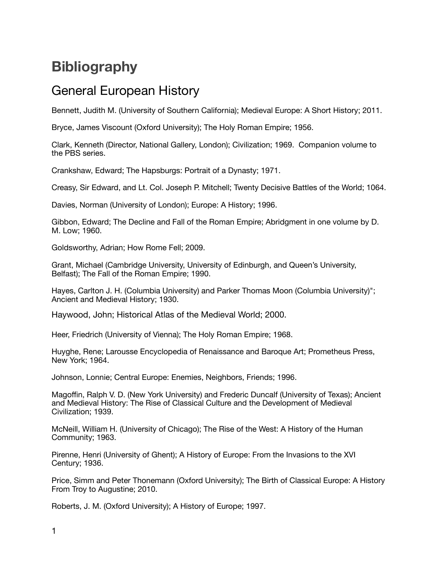# **Bibliography**

## General European History

Bennett, Judith M. (University of Southern California); Medieval Europe: A Short History; 2011.

Bryce, James Viscount (Oxford University); The Holy Roman Empire; 1956.

Clark, Kenneth (Director, National Gallery, London); Civilization; 1969. Companion volume to the PBS series.

Crankshaw, Edward; The Hapsburgs: Portrait of a Dynasty; 1971.

Creasy, Sir Edward, and Lt. Col. Joseph P. Mitchell; Twenty Decisive Battles of the World; 1064.

Davies, Norman (University of London); Europe: A History; 1996.

Gibbon, Edward; The Decline and Fall of the Roman Empire; Abridgment in one volume by D. M. Low; 1960.

Goldsworthy, Adrian; How Rome Fell; 2009.

Grant, Michael (Cambridge University, University of Edinburgh, and Queen's University, Belfast); The Fall of the Roman Empire; 1990.

Hayes, Carlton J. H. (Columbia University) and Parker Thomas Moon (Columbia University)"; Ancient and Medieval History; 1930.

Haywood, John; Historical Atlas of the Medieval World; 2000.

Heer, Friedrich (University of Vienna); The Holy Roman Empire; 1968.

Huyghe, Rene; Larousse Encyclopedia of Renaissance and Baroque Art; Prometheus Press, New York; 1964.

Johnson, Lonnie; Central Europe: Enemies, Neighbors, Friends; 1996.

Magoffin, Ralph V. D. (New York University) and Frederic Duncalf (University of Texas); Ancient and Medieval History: The Rise of Classical Culture and the Development of Medieval Civilization; 1939.

McNeill, William H. (University of Chicago); The Rise of the West: A History of the Human Community; 1963.

Pirenne, Henri (University of Ghent); A History of Europe: From the Invasions to the XVI Century; 1936.

Price, Simm and Peter Thonemann (Oxford University); The Birth of Classical Europe: A History From Troy to Augustine; 2010.

Roberts, J. M. (Oxford University); A History of Europe; 1997.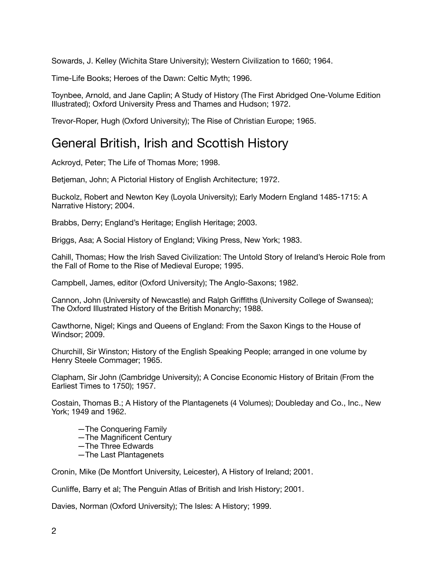Sowards, J. Kelley (Wichita Stare University); Western Civilization to 1660; 1964.

Time-Life Books; Heroes of the Dawn: Celtic Myth; 1996.

Toynbee, Arnold, and Jane Caplin; A Study of History (The First Abridged One-Volume Edition Illustrated); Oxford University Press and Thames and Hudson; 1972.

Trevor-Roper, Hugh (Oxford University); The Rise of Christian Europe; 1965.

#### General British, Irish and Scottish History

Ackroyd, Peter; The Life of Thomas More; 1998.

Betjeman, John; A Pictorial History of English Architecture; 1972.

Buckolz, Robert and Newton Key (Loyola University); Early Modern England 1485-1715: A Narrative History; 2004.

Brabbs, Derry; England's Heritage; English Heritage; 2003.

Briggs, Asa; A Social History of England; Viking Press, New York; 1983.

Cahill, Thomas; How the Irish Saved Civilization: The Untold Story of Ireland's Heroic Role from the Fall of Rome to the Rise of Medieval Europe; 1995.

Campbell, James, editor (Oxford University); The Anglo-Saxons; 1982.

Cannon, John (University of Newcastle) and Ralph Griffiths (University College of Swansea); The Oxford Illustrated History of the British Monarchy; 1988.

Cawthorne, Nigel; Kings and Queens of England: From the Saxon Kings to the House of Windsor; 2009.

Churchill, Sir Winston; History of the English Speaking People; arranged in one volume by Henry Steele Commager; 1965.

Clapham, Sir John (Cambridge University); A Concise Economic History of Britain (From the Earliest Times to 1750); 1957.

Costain, Thomas B.; A History of the Plantagenets (4 Volumes); Doubleday and Co., Inc., New York; 1949 and 1962.

- —The Conquering Family
- —The Magnificent Century
- —The Three Edwards
- —The Last Plantagenets

Cronin, Mike (De Montfort University, Leicester), A History of Ireland; 2001.

Cunliffe, Barry et al; The Penguin Atlas of British and Irish History; 2001.

Davies, Norman (Oxford University); The Isles: A History; 1999.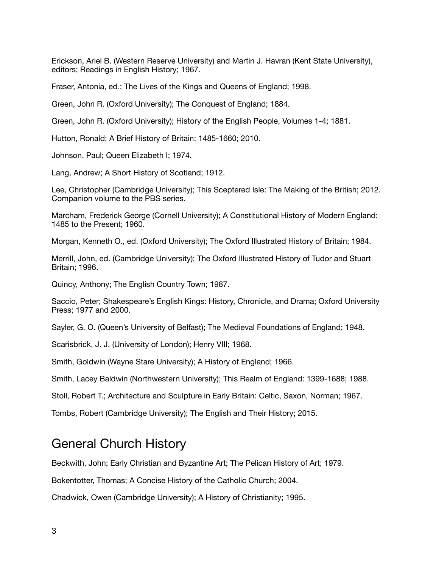Erickson, Ariel B. (Western Reserve University) and Martin J. Havran (Kent State University), editors; Readings in English History; 1967.

Fraser, Antonia, ed.; The Lives of the Kings and Queens of England; 1998.

Green, John R. (Oxford University); The Conquest of England; 1884.

Green, John R. (Oxford University); History of the English People, Volumes 1-4; 1881.

Hutton, Ronald; A Brief History of Britain: 1485-1660; 2010.

Johnson. Paul; Queen Elizabeth I; 1974.

Lang, Andrew; A Short History of Scotland; 1912.

Lee, Christopher (Cambridge University); This Sceptered Isle: The Making of the British; 2012. Companion volume to the PBS series.

Marcham, Frederick George (Cornell University); A Constitutional History of Modern England: 1485 to the Present; 1960.

Morgan, Kenneth O., ed. (Oxford University); The Oxford Illustrated History of Britain; 1984.

Merrill, John, ed. (Cambridge University); The Oxford Illustrated History of Tudor and Stuart Britain; 1996.

Quincy, Anthony; The English Country Town; 1987.

Saccio, Peter; Shakespeare's English Kings: History, Chronicle, and Drama; Oxford University Press; 1977 and 2000.

Sayler, G. O. (Queen's University of Belfast); The Medieval Foundations of England; 1948.

Scarisbrick, J. J. (University of London); Henry VIII; 1968.

Smith, Goldwin (Wayne Stare University); A History of England; 1966.

Smith, Lacey Baldwin (Northwestern University); This Realm of England: 1399-1688; 1988.

Stoll, Robert T.; Architecture and Sculpture in Early Britain: Celtic, Saxon, Norman; 1967.

Tombs, Robert (Cambridge University); The English and Their History; 2015.

#### General Church History

Beckwith, John; Early Christian and Byzantine Art; The Pelican History of Art; 1979.

Bokentotter, Thomas; A Concise History of the Catholic Church; 2004.

Chadwick, Owen (Cambridge University); A History of Christianity; 1995.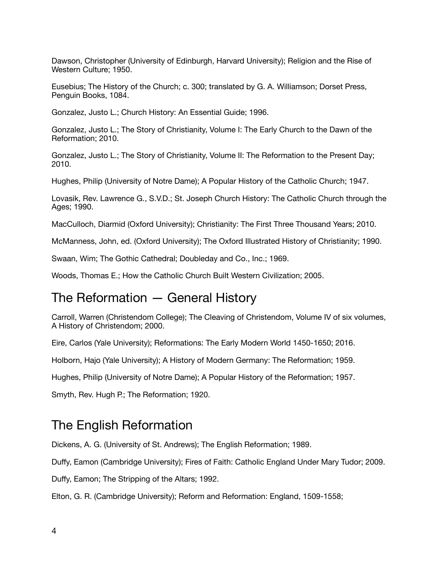Dawson, Christopher (University of Edinburgh, Harvard University); Religion and the Rise of Western Culture; 1950.

Eusebius; The History of the Church; c. 300; translated by G. A. Williamson; Dorset Press, Penguin Books, 1084.

Gonzalez, Justo L.; Church History: An Essential Guide; 1996.

Gonzalez, Justo L.; The Story of Christianity, Volume I: The Early Church to the Dawn of the Reformation; 2010.

Gonzalez, Justo L.; The Story of Christianity, Volume II: The Reformation to the Present Day; 2010.

Hughes, Philip (University of Notre Dame); A Popular History of the Catholic Church; 1947.

Lovasik, Rev. Lawrence G., S.V.D.; St. Joseph Church History: The Catholic Church through the Ages; 1990.

MacCulloch, Diarmid (Oxford University); Christianity: The First Three Thousand Years; 2010.

McManness, John, ed. (Oxford University); The Oxford Illustrated History of Christianity; 1990.

Swaan, Wim; The Gothic Cathedral; Doubleday and Co., Inc.; 1969.

Woods, Thomas E.; How the Catholic Church Built Western Civilization; 2005.

#### The Reformation — General History

Carroll, Warren (Christendom College); The Cleaving of Christendom, Volume IV of six volumes, A History of Christendom; 2000.

Eire, Carlos (Yale University); Reformations: The Early Modern World 1450-1650; 2016.

Holborn, Hajo (Yale University); A History of Modern Germany: The Reformation; 1959.

Hughes, Philip (University of Notre Dame); A Popular History of the Reformation; 1957.

Smyth, Rev. Hugh P.; The Reformation; 1920.

### The English Reformation

Dickens, A. G. (University of St. Andrews); The English Reformation; 1989.

Duffy, Eamon (Cambridge University); Fires of Faith: Catholic England Under Mary Tudor; 2009.

Duffy, Eamon; The Stripping of the Altars; 1992.

Elton, G. R. (Cambridge University); Reform and Reformation: England, 1509-1558;